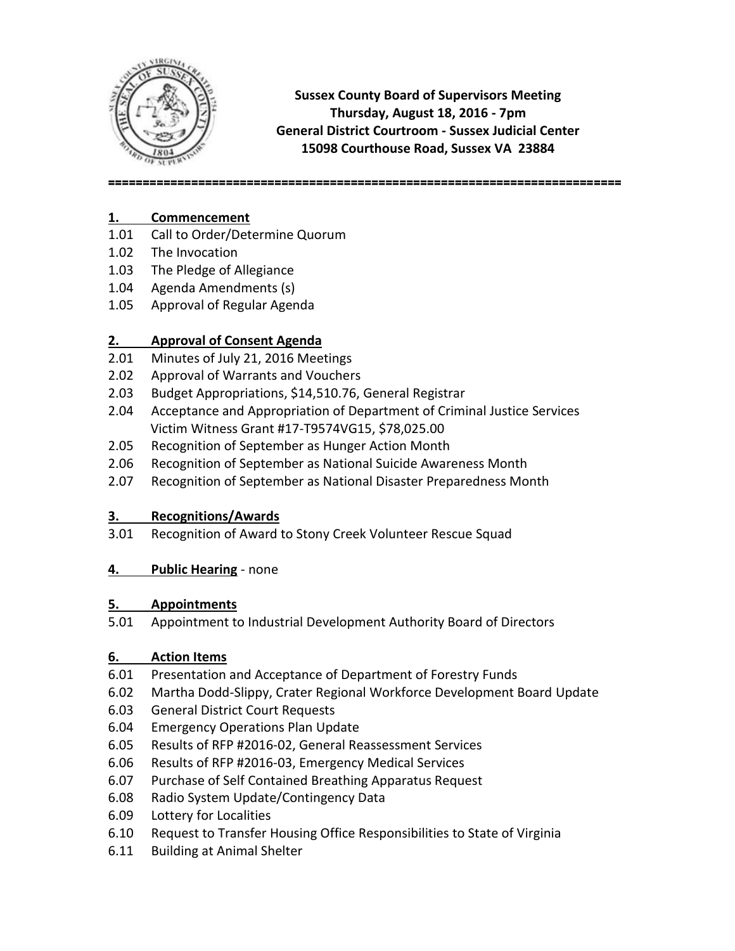

**Sussex County Board of Supervisors Meeting Thursday, August 18, 2016 - 7pm General District Courtroom - Sussex Judicial Center 15098 Courthouse Road, Sussex VA 23884**

**==========================================================================**

### **1. Commencement**

- 1.01 Call to Order/Determine Quorum
- 1.02 The Invocation
- 1.03 The Pledge of Allegiance
- 1.04 Agenda Amendments (s)
- 1.05 Approval of Regular Agenda

# **2. Approval of Consent Agenda**

- 2.01 Minutes of July 21, 2016 Meetings
- 2.02 Approval of Warrants and Vouchers
- 2.03 Budget Appropriations, \$14,510.76, General Registrar
- 2.04 Acceptance and Appropriation of Department of Criminal Justice Services Victim Witness Grant #17-T9574VG15, \$78,025.00
- 2.05 Recognition of September as Hunger Action Month
- 2.06 Recognition of September as National Suicide Awareness Month
- 2.07 Recognition of September as National Disaster Preparedness Month

## **3. Recognitions/Awards**

3.01 Recognition of Award to Stony Creek Volunteer Rescue Squad

## **4. Public Hearing** - none

## **5. Appointments**

5.01 Appointment to Industrial Development Authority Board of Directors

## **6. Action Items**

- 6.01 Presentation and Acceptance of Department of Forestry Funds
- 6.02 Martha Dodd-Slippy, Crater Regional Workforce Development Board Update
- 6.03 General District Court Requests
- 6.04 Emergency Operations Plan Update
- 6.05 Results of RFP #2016-02, General Reassessment Services
- 6.06 Results of RFP #2016-03, Emergency Medical Services
- 6.07 Purchase of Self Contained Breathing Apparatus Request
- 6.08 Radio System Update/Contingency Data
- 6.09 Lottery for Localities
- 6.10 Request to Transfer Housing Office Responsibilities to State of Virginia
- 6.11 Building at Animal Shelter